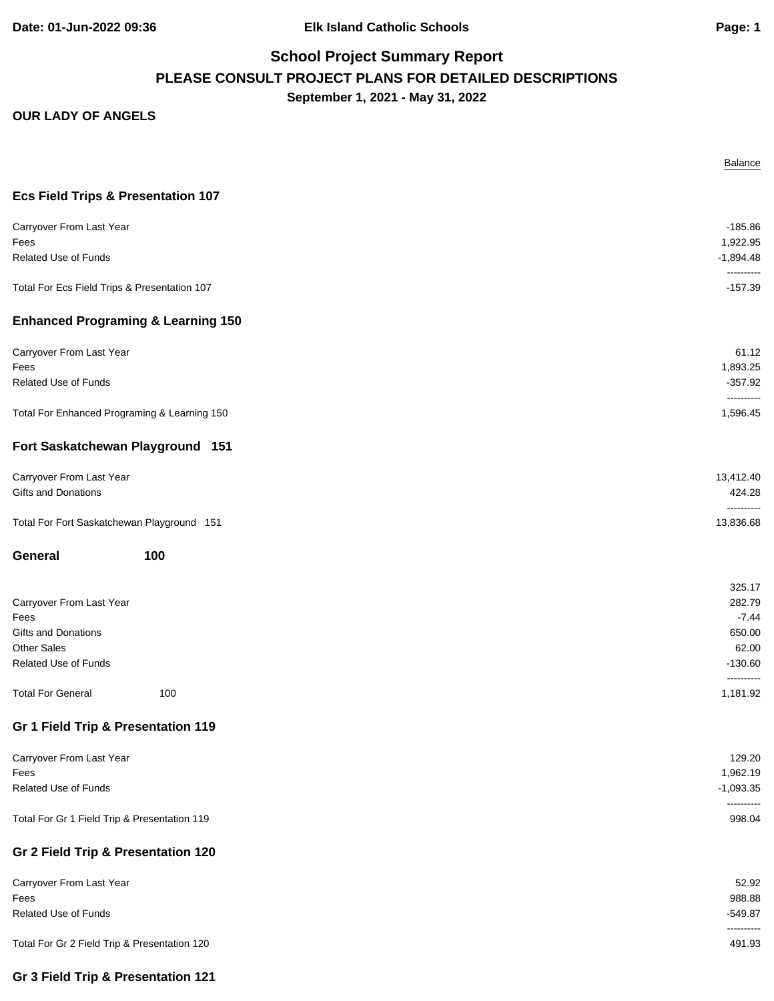**Date: 01-Jun-2022 09:36 Elk Island Catholic Schools Page: 1**

# **School Project Summary Report PLEASE CONSULT PROJECT PLANS FOR DETAILED DESCRIPTIONS September 1, 2021 - May 31, 2022**

|                                               | <b>Balance</b>            |
|-----------------------------------------------|---------------------------|
| <b>Ecs Field Trips &amp; Presentation 107</b> |                           |
| Carryover From Last Year                      | $-185.86$                 |
| Fees                                          | 1,922.95                  |
| Related Use of Funds                          | $-1,894.48$               |
| Total For Ecs Field Trips & Presentation 107  | ----------<br>$-157.39$   |
| <b>Enhanced Programing &amp; Learning 150</b> |                           |
| Carryover From Last Year                      | 61.12                     |
| Fees                                          | 1,893.25                  |
| Related Use of Funds                          | $-357.92$<br>----------   |
| Total For Enhanced Programing & Learning 150  | 1,596.45                  |
| Fort Saskatchewan Playground 151              |                           |
| Carryover From Last Year                      | 13,412.40                 |
| <b>Gifts and Donations</b>                    | 424.28                    |
| Total For Fort Saskatchewan Playground 151    | ----------<br>13,836.68   |
| General<br>100                                |                           |
|                                               | 325.17                    |
| Carryover From Last Year                      | 282.79                    |
| Fees                                          | $-7.44$                   |
| Gifts and Donations                           | 650.00                    |
| <b>Other Sales</b>                            | 62.00                     |
| Related Use of Funds                          | $-130.60$<br>----------   |
| <b>Total For General</b><br>100               | 1,181.92                  |
| Gr 1 Field Trip & Presentation 119            |                           |
| Carryover From Last Year                      | 129.20                    |
| Fees                                          | 1,962.19                  |
| Related Use of Funds                          | $-1,093.35$<br>---------- |
| Total For Gr 1 Field Trip & Presentation 119  | 998.04                    |
| Gr 2 Field Trip & Presentation 120            |                           |
| Carryover From Last Year                      | 52.92                     |
| Fees                                          | 988.88                    |
| Related Use of Funds                          | $-549.87$<br>----------   |
| Total For Gr 2 Field Trip & Presentation 120  | 491.93                    |
| Gr 3 Field Trip & Presentation 121            |                           |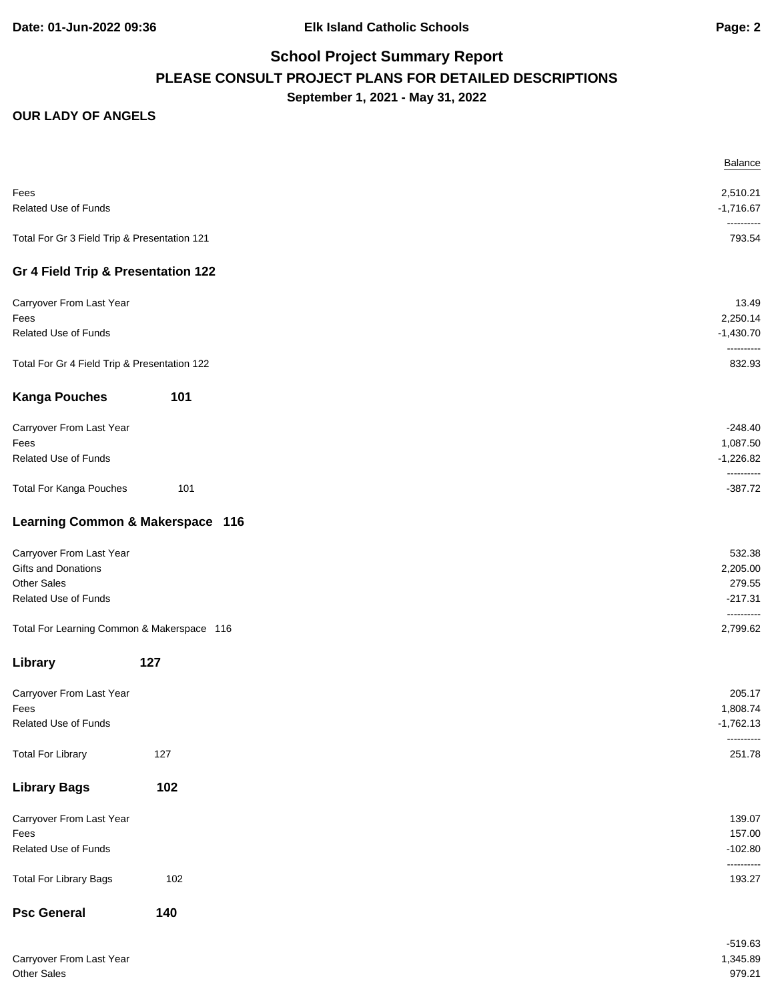# **School Project Summary Report PLEASE CONSULT PROJECT PLANS FOR DETAILED DESCRIPTIONS September 1, 2021 - May 31, 2022**

|                                              |                                  | <b>Balance</b>            |
|----------------------------------------------|----------------------------------|---------------------------|
| Fees                                         |                                  | 2,510.21                  |
| Related Use of Funds                         |                                  | $-1,716.67$<br>---------- |
| Total For Gr 3 Field Trip & Presentation 121 |                                  | 793.54                    |
| Gr 4 Field Trip & Presentation 122           |                                  |                           |
| Carryover From Last Year                     |                                  | 13.49                     |
| Fees                                         |                                  | 2,250.14                  |
| Related Use of Funds                         |                                  | $-1,430.70$<br>---------- |
| Total For Gr 4 Field Trip & Presentation 122 |                                  | 832.93                    |
| <b>Kanga Pouches</b>                         | 101                              |                           |
| Carryover From Last Year                     |                                  | $-248.40$                 |
| Fees                                         |                                  | 1,087.50                  |
| Related Use of Funds                         |                                  | $-1,226.82$<br>---------- |
| <b>Total For Kanga Pouches</b>               | 101                              | $-387.72$                 |
|                                              | Learning Common & Makerspace 116 |                           |
| Carryover From Last Year                     |                                  | 532.38                    |
| Gifts and Donations                          |                                  | 2,205.00                  |
| <b>Other Sales</b>                           |                                  | 279.55                    |
| Related Use of Funds                         |                                  | $-217.31$<br>----------   |
| Total For Learning Common & Makerspace 116   |                                  | 2,799.62                  |
| Library                                      | 127                              |                           |
| Carryover From Last Year                     |                                  | 205.17                    |
| Fees                                         |                                  | 1,808.74                  |
| Related Use of Funds                         |                                  | $-1,762.13$<br>---------- |
| <b>Total For Library</b>                     | 127                              | 251.78                    |
| <b>Library Bags</b>                          | 102                              |                           |
| Carryover From Last Year                     |                                  | 139.07                    |
| Fees                                         |                                  | 157.00                    |
| Related Use of Funds                         |                                  | $-102.80$<br>----------   |
| <b>Total For Library Bags</b>                | 102                              | 193.27                    |
| <b>Psc General</b>                           | 140                              |                           |
|                                              |                                  | $-519.63$                 |
| Carryover From Last Year                     |                                  | 1,345.89                  |
| Other Sales                                  |                                  | 979.21                    |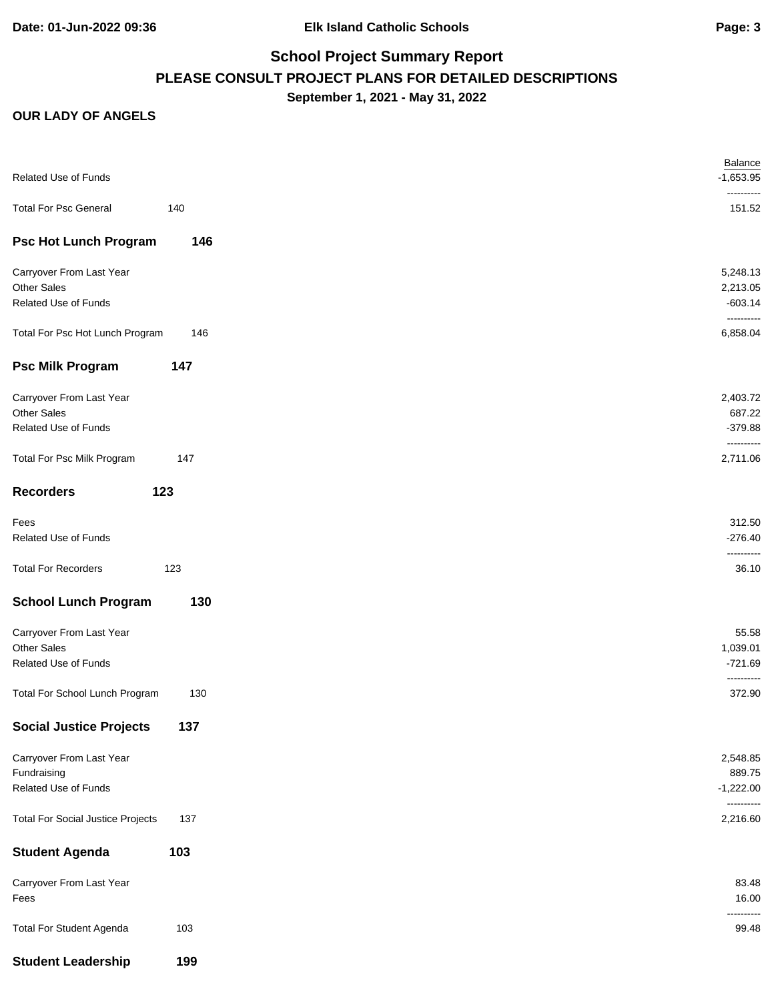# **School Project Summary Report PLEASE CONSULT PROJECT PLANS FOR DETAILED DESCRIPTIONS September 1, 2021 - May 31, 2022**

|                                          |     | Balance                   |
|------------------------------------------|-----|---------------------------|
| Related Use of Funds                     |     | $-1,653.95$<br>---------- |
| <b>Total For Psc General</b>             | 140 | 151.52                    |
| <b>Psc Hot Lunch Program</b>             | 146 |                           |
| Carryover From Last Year                 |     | 5,248.13                  |
| Other Sales                              |     | 2,213.05                  |
| Related Use of Funds                     |     | $-603.14$<br>----------   |
| Total For Psc Hot Lunch Program          | 146 | 6,858.04                  |
| <b>Psc Milk Program</b>                  | 147 |                           |
| Carryover From Last Year                 |     | 2,403.72                  |
| Other Sales                              |     | 687.22                    |
| Related Use of Funds                     |     | $-379.88$<br>----------   |
| Total For Psc Milk Program               | 147 | 2,711.06                  |
| 123<br><b>Recorders</b>                  |     |                           |
| Fees                                     |     | 312.50                    |
| Related Use of Funds                     |     | $-276.40$                 |
| <b>Total For Recorders</b>               | 123 | 36.10                     |
| <b>School Lunch Program</b>              | 130 |                           |
| Carryover From Last Year                 |     | 55.58                     |
| Other Sales                              |     | 1,039.01                  |
| Related Use of Funds                     |     | $-721.69$                 |
| Total For School Lunch Program           | 130 | ----------<br>372.90      |
| <b>Social Justice Projects</b>           | 137 |                           |
| Carryover From Last Year                 |     | 2,548.85                  |
| Fundraising                              |     | 889.75                    |
| Related Use of Funds                     |     | $-1,222.00$               |
| <b>Total For Social Justice Projects</b> | 137 | ----------<br>2,216.60    |
| <b>Student Agenda</b>                    | 103 |                           |
| Carryover From Last Year                 |     | 83.48                     |
| Fees                                     |     | 16.00                     |
| <b>Total For Student Agenda</b>          | 103 | 99.48                     |
| <b>Student Leadership</b>                | 199 |                           |